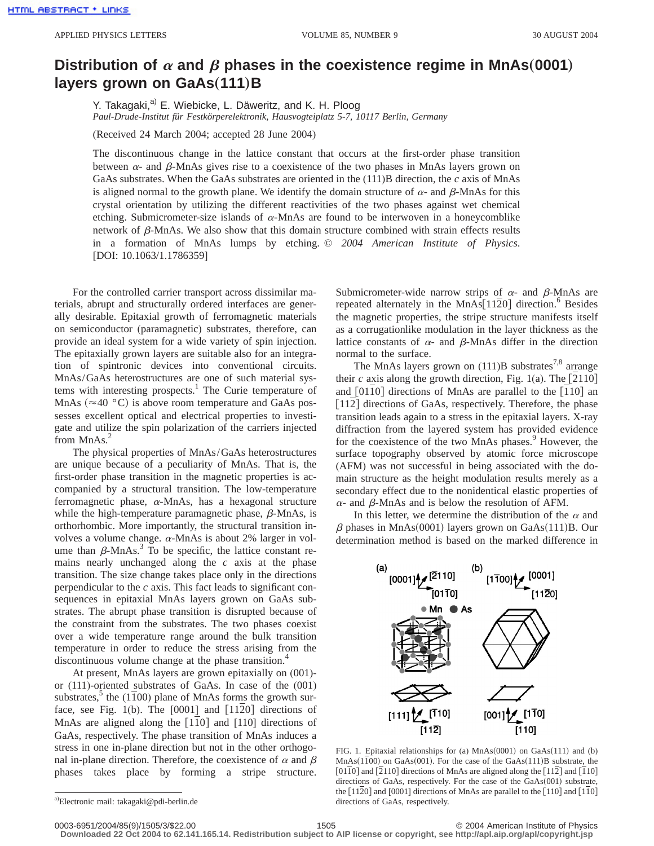## Distribution of  $\alpha$  and  $\beta$  phases in the coexistence regime in MnAs(0001) **layers grown on GaAs(111)B**

Y. Takagaki,<sup>a)</sup> E. Wiebicke, L. Däweritz, and K. H. Ploog *Paul-Drude-Institut für Festkörperelektronik, Hausvogteiplatz 5-7, 10117 Berlin, Germany*

(Received 24 March 2004; accepted 28 June 2004)

The discontinuous change in the lattice constant that occurs at the first-order phase transition between  $\alpha$ - and  $\beta$ -MnAs gives rise to a coexistence of the two phases in MnAs layers grown on GaAs substrates. When the GaAs substrates are oriented in the (111)B direction, the *c* axis of MnAs is aligned normal to the growth plane. We identify the domain structure of  $\alpha$ - and  $\beta$ -MnAs for this crystal orientation by utilizing the different reactivities of the two phases against wet chemical etching. Submicrometer-size islands of  $\alpha$ -MnAs are found to be interwoven in a honeycomblike network of  $\beta$ -MnAs. We also show that this domain structure combined with strain effects results in a formation of MnAs lumps by etching. © *2004 American Institute of Physics*. [DOI: 10.1063/1.1786359]

For the controlled carrier transport across dissimilar materials, abrupt and structurally ordered interfaces are generally desirable. Epitaxial growth of ferromagnetic materials on semiconductor (paramagnetic) substrates, therefore, can provide an ideal system for a wide variety of spin injection. The epitaxially grown layers are suitable also for an integration of spintronic devices into conventional circuits. MnAs/GaAs heterostructures are one of such material systems with interesting prospects.<sup>1</sup> The Curie temperature of MnAs ( $\approx$ 40 °C) is above room temperature and GaAs possesses excellent optical and electrical properties to investigate and utilize the spin polarization of the carriers injected from  $MnAs.<sup>2</sup>$ 

The physical properties of MnAs/GaAs heterostructures are unique because of a peculiarity of MnAs. That is, the first-order phase transition in the magnetic properties is accompanied by a structural transition. The low-temperature ferromagnetic phase,  $\alpha$ -MnAs, has a hexagonal structure while the high-temperature paramagnetic phase,  $\beta$ -MnAs, is orthorhombic. More importantly, the structural transition involves a volume change.  $\alpha$ -MnAs is about 2% larger in volume than  $\beta$ -MnAs.<sup>3</sup> To be specific, the lattice constant remains nearly unchanged along the *c* axis at the phase transition. The size change takes place only in the directions perpendicular to the *c* axis. This fact leads to significant consequences in epitaxial MnAs layers grown on GaAs substrates. The abrupt phase transition is disrupted because of the constraint from the substrates. The two phases coexist over a wide temperature range around the bulk transition temperature in order to reduce the stress arising from the discontinuous volume change at the phase transition.<sup>4</sup>

At present, MnAs layers are grown epitaxially on (001) or (111)-oriented substrates of GaAs. In case of the (001) substrates, $\delta$  the (1100) plane of MnAs forms the growth surface, see Fig.  $1(b)$ . The  $[0001]$  and  $[1120]$  directions of MnAs are aligned along the  $[110]$  and  $[110]$  directions of GaAs, respectively. The phase transition of MnAs induces a stress in one in-plane direction but not in the other orthogonal in-plane direction. Therefore, the coexistence of  $\alpha$  and  $\beta$ phases takes place by forming a stripe structure. Submicrometer-wide narrow strips of  $\alpha$ - and  $\beta$ -MnAs are repeated alternately in the  $MnAs[1120]$  direction.<sup>6</sup> Besides the magnetic properties, the stripe structure manifests itself as a corrugationlike modulation in the layer thickness as the lattice constants of  $\alpha$ - and  $\beta$ -MnAs differ in the direction normal to the surface.

The MnAs layers grown on  $(111)B$  substrates<sup>7,8</sup> arrange their  $c$  axis along the growth direction, Fig. 1(a). The  $[2110]$ and  $[0110]$  directions of MnAs are parallel to the  $[110]$  an [112] directions of GaAs, respectively. Therefore, the phase transition leads again to a stress in the epitaxial layers. X-ray diffraction from the layered system has provided evidence for the coexistence of the two MnAs phases.<sup>9</sup> However, the surface topography observed by atomic force microscope (AFM) was not successful in being associated with the domain structure as the height modulation results merely as a secondary effect due to the nonidentical elastic properties of  $\alpha$ - and  $\beta$ -MnAs and is below the resolution of AFM.

In this letter, we determine the distribution of the  $\alpha$  and  $\beta$  phases in MnAs(0001) layers grown on GaAs(111)B. Our determination method is based on the marked difference in



FIG. 1. Epitaxial relationships for (a)  $MnAs(0001)$  on  $GaAs(111)$  and (b)  $MnAs(1100)$  on  $GaAs(001)$ . For the case of the  $GaAs(111)B$  substrate, the [01 $\overline{10}$ ] and [ $\overline{2}110$ ] directions of MnAs are aligned along the [112] and [110] directions of GaAs, respectively. For the case of the  $GaAs(001)$  substrate, the  $[11\overline{2}0]$  and  $[0001]$  directions of MnAs are parallel to the  $[110]$  and  $[1\overline{1}0]$ directions of GaAs, respectively.

**Downloaded 22 Oct 2004 to 62.141.165.14. Redistribution subject to AIP license or copyright, see http://apl.aip.org/apl/copyright.jsp**

a) Electronic mail: takagaki@pdi-berlin.de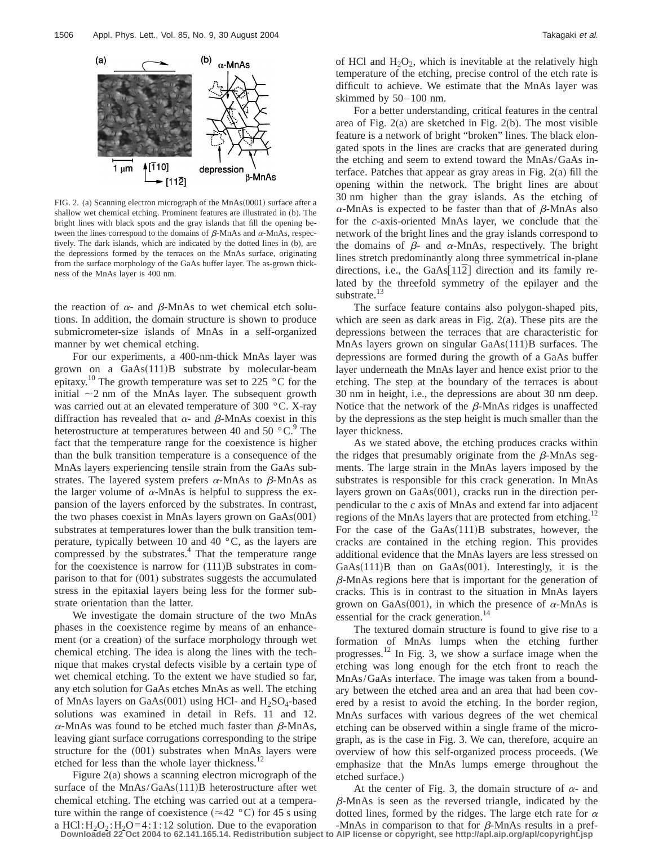

FIG. 2. (a) Scanning electron micrograph of the  $MnAs(0001)$  surface after a shallow wet chemical etching. Prominent features are illustrated in (b). The bright lines with black spots and the gray islands that fill the opening between the lines correspond to the domains of  $\beta$ -MnAs and  $\alpha$ -MnAs, respectively. The dark islands, which are indicated by the dotted lines in (b), are the depressions formed by the terraces on the MnAs surface, originating from the surface morphology of the GaAs buffer layer. The as-grown thickness of the MnAs layer is 400 nm.

the reaction of  $\alpha$ - and  $\beta$ -MnAs to wet chemical etch solutions. In addition, the domain structure is shown to produce submicrometer-size islands of MnAs in a self-organized manner by wet chemical etching.

For our experiments, a 400-nm-thick MnAs layer was grown on a  $GaAs(111)B$  substrate by molecular-beam epitaxy.<sup>10</sup> The growth temperature was set to 225 °C for the initial  $\sim$ 2 nm of the MnAs layer. The subsequent growth was carried out at an elevated temperature of 300 °C. X-ray diffraction has revealed that  $\alpha$ - and  $\beta$ -MnAs coexist in this heterostructure at temperatures between 40 and 50  $^{\circ}$ C.<sup>9</sup> The fact that the temperature range for the coexistence is higher than the bulk transition temperature is a consequence of the MnAs layers experiencing tensile strain from the GaAs substrates. The layered system prefers  $\alpha$ -MnAs to  $\beta$ -MnAs as the larger volume of  $\alpha$ -MnAs is helpful to suppress the expansion of the layers enforced by the substrates. In contrast, the two phases coexist in MnAs layers grown on  $GaAs(001)$ substrates at temperatures lower than the bulk transition temperature, typically between 10 and 40 °C, as the layers are compressed by the substrates.<sup>4</sup> That the temperature range for the coexistence is narrow for  $(111)B$  substrates in comparison to that for (001) substrates suggests the accumulated stress in the epitaxial layers being less for the former substrate orientation than the latter.

We investigate the domain structure of the two MnAs phases in the coexistence regime by means of an enhancement (or a creation) of the surface morphology through wet chemical etching. The idea is along the lines with the technique that makes crystal defects visible by a certain type of wet chemical etching. To the extent we have studied so far, any etch solution for GaAs etches MnAs as well. The etching of MnAs layers on GaAs $(001)$  using HCl- and H<sub>2</sub>SO<sub>4</sub>-based solutions was examined in detail in Refs. 11 and 12.  $\alpha$ -MnAs was found to be etched much faster than  $\beta$ -MnAs, leaving giant surface corrugations corresponding to the stripe structure for the (001) substrates when MnAs layers were etched for less than the whole layer thickness.<sup>12</sup>

Figure 2(a) shows a scanning electron micrograph of the surface of the  $MnAs/GaAs(111)B$  heterostructure after wet chemical etching. The etching was carried out at a temperature within the range of coexistence ( $\approx$ 42 °C) for 45 s using a HCl:  $H_2O_2$ :  $H_2O=4$ : 1:12 solution. Due to the evaporation

For a better understanding, critical features in the central area of Fig. 2(a) are sketched in Fig. 2(b). The most visible feature is a network of bright "broken" lines. The black elongated spots in the lines are cracks that are generated during the etching and seem to extend toward the MnAs/GaAs interface. Patches that appear as gray areas in Fig. 2(a) fill the opening within the network. The bright lines are about 30 nm higher than the gray islands. As the etching of  $\alpha$ -MnAs is expected to be faster than that of  $\beta$ -MnAs also for the *c*-axis-oriented MnAs layer, we conclude that the network of the bright lines and the gray islands correspond to the domains of  $\beta$ - and  $\alpha$ -MnAs, respectively. The bright lines stretch predominantly along three symmetrical in-plane directions, i.e., the  $GaAs[112]$  direction and its family related by the threefold symmetry of the epilayer and the substrate.<sup>13</sup>

The surface feature contains also polygon-shaped pits, which are seen as dark areas in Fig. 2(a). These pits are the depressions between the terraces that are characteristic for MnAs layers grown on singular  $GaAs(111)B$  surfaces. The depressions are formed during the growth of a GaAs buffer layer underneath the MnAs layer and hence exist prior to the etching. The step at the boundary of the terraces is about 30 nm in height, i.e., the depressions are about 30 nm deep. Notice that the network of the  $\beta$ -MnAs ridges is unaffected by the depressions as the step height is much smaller than the layer thickness.

As we stated above, the etching produces cracks within the ridges that presumably originate from the  $\beta$ -MnAs segments. The large strain in the MnAs layers imposed by the substrates is responsible for this crack generation. In MnAs layers grown on  $GaAs(001)$ , cracks run in the direction perpendicular to the *c* axis of MnAs and extend far into adjacent regions of the MnAs layers that are protected from etching.<sup>12</sup> For the case of the  $GaAs(111)B$  substrates, however, the cracks are contained in the etching region. This provides additional evidence that the MnAs layers are less stressed on  $GaAs(111)B$  than on  $GaAs(001)$ . Interestingly, it is the  $\beta$ -MnAs regions here that is important for the generation of cracks. This is in contrast to the situation in MnAs layers grown on GaAs(001), in which the presence of  $\alpha$ -MnAs is essential for the crack generation.<sup>1</sup>

The textured domain structure is found to give rise to a formation of MnAs lumps when the etching further progresses.<sup>12</sup> In Fig. 3, we show a surface image when the etching was long enough for the etch front to reach the MnAs/GaAs interface. The image was taken from a boundary between the etched area and an area that had been covered by a resist to avoid the etching. In the border region, MnAs surfaces with various degrees of the wet chemical etching can be observed within a single frame of the micrograph, as is the case in Fig. 3. We can, therefore, acquire an overview of how this self-organized process proceeds. (We emphasize that the MnAs lumps emerge throughout the etched surface.)

At the center of Fig. 3, the domain structure of  $\alpha$ - and  $\beta$ -MnAs is seen as the reversed triangle, indicated by the dotted lines, formed by the ridges. The large etch rate for  $\alpha$ 

<sup>-</sup>MnAs in comparison to that for  $\beta$ -MnAs results in a pref-**Downloaded 22 Oct 2004 to 62.141.165.14. Redistribution subject to AIP license or copyright, see http://apl.aip.org/apl/copyright.jsp**